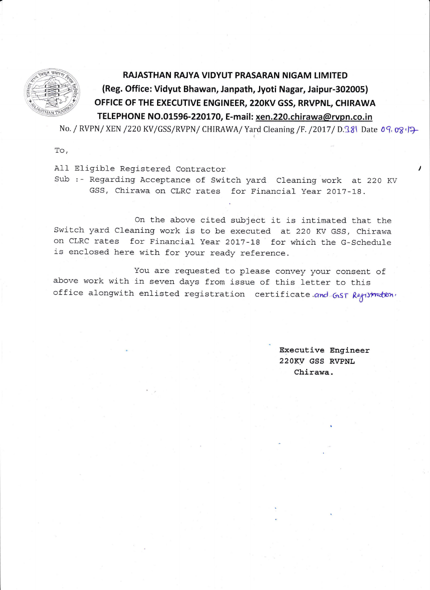

## RAJASTHAN RAJYA VIDYUT PRASARAN NIGAM LIMITED (Reg. Office: Vidyut Bhawan, Janpath, Jyoti Nagar, Jaipur-302005) OFFICE OF THE EXECUTIVE ENGINEER, 22OKV GSS, RRVPNL, CHIRAWA TELEPHONE NO.01596-220170, E-mail: xen.220.chirawa@rvpn.co.in

No. / RVPN/ XEN /220 KV/ GSS/RVPN/ CHIRAWA / Yard Cleaning /F. /2017 / D.181 Date 09, 08,

To,

All Eligible Registered Contractor

Sub :- Regarding Acceptance of Switch yard Cleaning work at 220 KV GSS, Chirawa on CLRC rates for Financial Year 2017-18.

On the above cited subject it is intimated that the Switch yard Cleaning work is to be executed at 220 KV GSS, Chirawa on CLRC rates for Financial Year 2017-18 for which the G-Schedule is enclosed here with for your ready reference.

You are requested to please convey your consent of above work with in seven days from issue of this letter to this office alongwith enlisted registration certificate.and GST Regimetion,

> Executive Engineer 22OKV GSS RVPNL Chirawa.